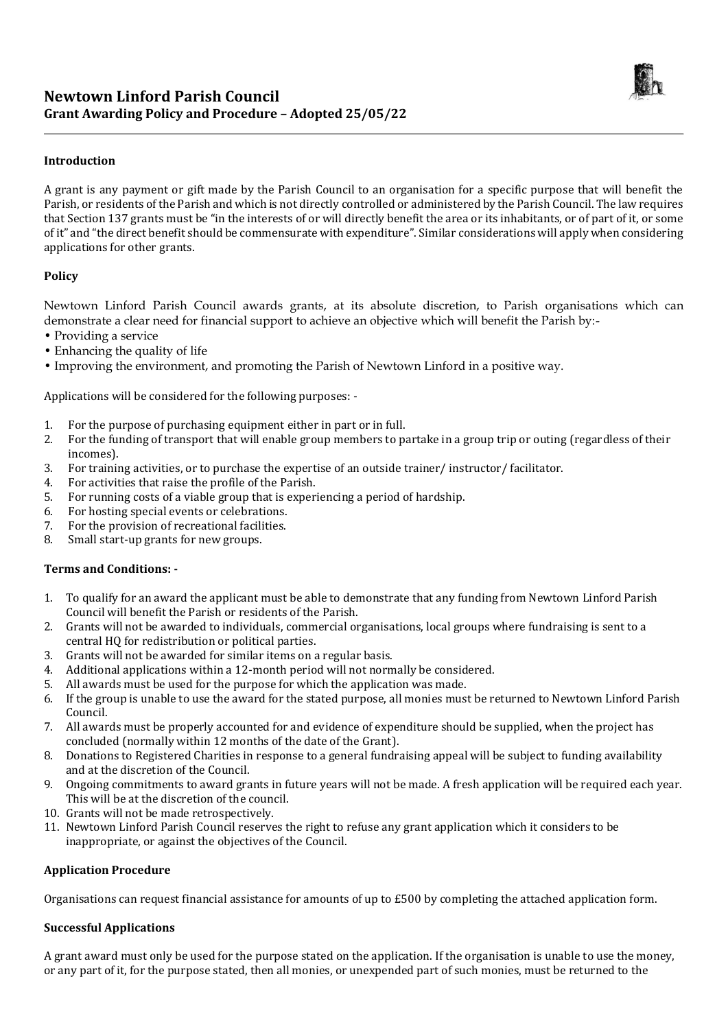

## **Introduction**

A grant is any payment or gift made by the Parish Council to an organisation for a specific purpose that will benefit the Parish, or residents of the Parish and which is not directly controlled or administered by the Parish Council. The law requires that Section 137 grants must be "in the interests of or will directly benefit the area or its inhabitants, or of part of it, or some of it" and "the direct benefit should be commensurate with expenditure". Similar considerations will apply when considering applications for other grants.

### **Policy**

Newtown Linford Parish Council awards grants, at its absolute discretion, to Parish organisations which can demonstrate a clear need for financial support to achieve an objective which will benefit the Parish by:-

- Providing a service
- Enhancing the quality of life
- Improving the environment, and promoting the Parish of Newtown Linford in a positive way.

Applications will be considered for the following purposes: -

- 1. For the purpose of purchasing equipment either in part or in full.
- 2. For the funding of transport that will enable group members to partake in a group trip or outing (regardless of their incomes).
- 3. For training activities, or to purchase the expertise of an outside trainer/ instructor/ facilitator.
- 4. For activities that raise the profile of the Parish.
- 5. For running costs of a viable group that is experiencing a period of hardship.
- 6. For hosting special events or celebrations.
- 7. For the provision of recreational facilities.
- 8. Small start-up grants for new groups.

#### **Terms and Conditions: -**

- 1. To qualify for an award the applicant must be able to demonstrate that any funding from Newtown Linford Parish Council will benefit the Parish or residents of the Parish.
- 2. Grants will not be awarded to individuals, commercial organisations, local groups where fundraising is sent to a central HQ for redistribution or political parties.
- 3. Grants will not be awarded for similar items on a regular basis.
- 4. Additional applications within a 12-month period will not normally be considered.
- 5. All awards must be used for the purpose for which the application was made.
- 6. If the group is unable to use the award for the stated purpose, all monies must be returned to Newtown Linford Parish Council.
- 7. All awards must be properly accounted for and evidence of expenditure should be supplied, when the project has concluded (normally within 12 months of the date of the Grant).
- 8. Donations to Registered Charities in response to a general fundraising appeal will be subject to funding availability and at the discretion of the Council.
- 9. Ongoing commitments to award grants in future years will not be made. A fresh application will be required each year. This will be at the discretion of the council.
- 10. Grants will not be made retrospectively.
- 11. Newtown Linford Parish Council reserves the right to refuse any grant application which it considers to be inappropriate, or against the objectives of the Council.

#### **Application Procedure**

Organisations can request financial assistance for amounts of up to £500 by completing the attached application form.

## **Successful Applications**

A grant award must only be used for the purpose stated on the application. If the organisation is unable to use the money, or any part of it, for the purpose stated, then all monies, or unexpended part of such monies, must be returned to the